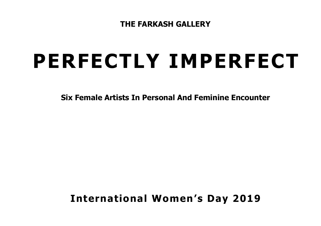**THE FARKASH GALLERY**

# **PERFECTLY IMPERFECT**

**Six Female Artists In Personal And Feminine Encounter**

**International Women's Day 2019**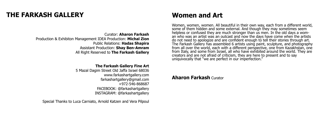#### **THE FARKASH GALLERY Women and Art**

Women, women, women. All beautiful in their own way, each from a different world, some of them hidden and some external. And though they may sometimes seem helpless or confused they are much stronger than us men. In the old days a woman who was an artist was an outcast and now the days have come when the artists do not need to apologize and are confident enough to tell their stories through art. The Farkash Gallery has assembled 6 artists using paint, sculpture, and photography from all over the world, each with a different perspective, one from Kazakhstan, one from Italy, and some from Israel, all who have exhibited around the world. They are creators and are not afraid of criticism, they are here to present and to say uniquivocally that "we are perfect in our imperfection."

#### **Aharon Farkash** Curator

Curator: **Aharon Farkash**  Production & Exhibiton Management IDEA Production: **Michal Zion** Public Relations: **Hadas Shapira** Assistant Production: **Shay Ben-Amram** All Right Reserved to **The Farkash Gallery**

#### **The Farkash Gallery Fine Art**

5 Mazal Dagim Street Old Jaffa Israel 68036 www.farkashartgallery.com farkashartgallery@gmail.com +972-546-868687 FACEBOOK: @farkashartgallery INSTAGRAM: @farkashartgallery

Special Thanks to Luca Carniato, Arnold Katzen and Vera Pilpoul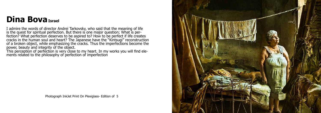## **Dina Bova Israel**

I admire the words of director Andrei Tarkovsky, who said that the meaning of life is the quest for spiritual perfection. But there is one major question; What is per-<br>fection? What perfection deserves to be aspired to? How to be perfect if life creates cracks in the human soul and heart? The Japanese have the "Kintsugi" reconstruction of a broken object, while emphasizing the cracks. Thus the imperfections become the power, beauty and integrity of the object.

This perception of perfection is very close to my heart. In my works you will find ele- ments related to the philosophy of perfection of imperfection

Photograph InkJet Print On Plexiglass- Edition of 5

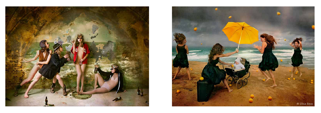

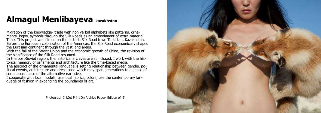# **Almagul Menlibayeva kazakhstan**

Migration of the knowledge- trade with non verbal alphabets like patterns, ornaments, logos, symbols through the Silk Roads as an embodiment of extra-material Time. This project was filmed on the historic Silk Road town Turkistan, Kazakhstan. Before the European colonization of the Americas, the Silk Road economically shaped the Eurasian continent through the vast land areas.

With the fall of the Soviet Union and the economic growth of China, the revision of the significance of the Silk Road resumed.

In the post-Soviet region, the historical archives are still closed, I work with the his- torical memory of ornaments and architecture like the time-based media.

The abstract of the ornamental language is setting relationship between gender, po- litical events, architecture and dress code which may span generations to a sense of continuous space of the alternative narrative.

I cooperate with local models, use local fabrics, colors, use the contemporary language of fashion in expanding the boundaries of art.



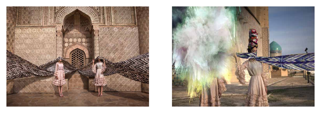

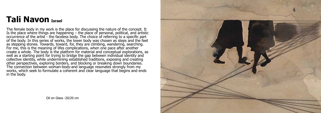# **Tali Navon Israel**

The female body in my work is the place for discussing the nature of the concept. It Is the place where things are happening – the place of personal, political, and artistic occurrence of the artist - the faceless body. The choice of referring to a specific part of the body. In this series of works, the lower body was chosen as steps and the feet as stepping stones. Towards, toward, for, they are climbing, wandering, searching. For me, this is the meaning of lifes complications, when one pace after another create a whole. The body is the platform for material and conceptual explorations, as well as a starting point for trying to bridge the gap between individual identity and collective identity, while undermining established traditions, exposing and creating other perspectives, exploring borders, and blocking or breaking down boundaries. The connection between woman-body-and language resonates strongly from my works, which seek to formulate a coherent and clear language that begins and ends in the body.



Oil on Glass -20/20 cm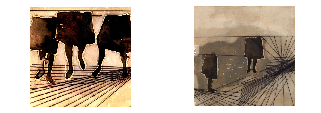

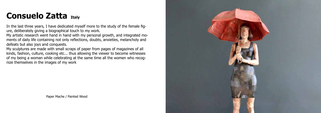## **Consuelo Zatta Italy**

In the last three years, I have dedicated myself more to the study of the female figure, deliberately giving a biographical touch to my work.

My artistic research went hand in hand with my personal growth, and integrated moments of daily life containing not only reflections, doubts, anxieties, melancholy and defeats but also joys and conquests.

My sculptures are made with small scraps of paper from pages of magazines of all kinds, fashion, culture, cooking etc... thus allowing the viewer to become witnesses of my being a woman while celebrating at the same time all the women who recognize themselves in the images of my work

Paper Mache / Painted Wood

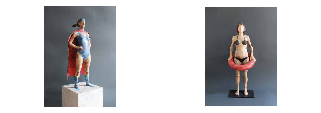

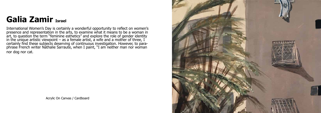# **Galia Zamir Israel**

International Women's Day is certainly a wonderful opportunity to reflect on women's presence and representation in the arts, to examine what it means to be a woman in art, to question the term "feminine esthetics" and explore the role of gender identity in the unique artistic viewpoint – as a female artist, a wife and a mother of three, I certainly find these subjects deserving of continuous investigation. However, to paraphrase French writer Nathalie Sarraute, when I paint, "I am neither man nor woman nor dog nor cat.

Acrylic On Canvas / Cardboard

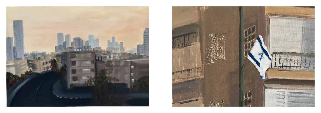

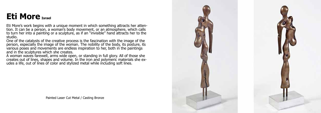### **Eti More Israel**

Eti More's work begins with a unique moment in which something attracts her atten-<br>tion. It can be a person, a woman's body movement, or an atmosphere, which calls to turn her into a painting or a sculpture, as if an "invisible" hand attracts her to the studio.

A woman waves farewell, arms wide open, or standing in full glory. All of those she creates out of lines, shapes and volume. In the iron and polymeric materials she excreates out of lines, shapes and volume. In the iron and polymeric materials she ex- udes a life, out of lines of color and stylized metal while including soft lines.

One of the catalysts of the creative process is the fascination with the image of the person, especially the image of the woman. The nobility of the body, its posture, its various poses and movements are endless inspiration to her, both in the paintings and in the sculptures which she creates.

Painted Laser Cut Metal / Casting Bronze